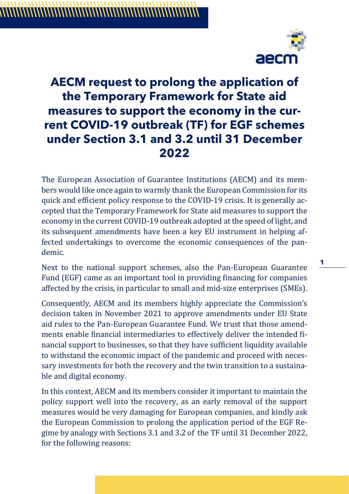

## **AECM request to prolong the application of the Temporary Framework for State aid measures to support the economy in the current COVID-19 outbreak (TF) for EGF schemes under Section 3.1 and 3.2 until 31 December 2022**

The European Association of Guarantee Institutions (AECM) and its members would like once again to warmly thank the European Commission for its quick and efficient policy response to the COVID-19 crisis. It is generally accepted that the Temporary Framework for State aid measures to support the economy in the current COVID-19 outbreak adopted at the speed of light, and its subsequent amendments have been a key EU instrument in helping affected undertakings to overcome the economic consequences of the pandemic.

Next to the national support schemes, also the Pan-European Guarantee Fund (EGF) came as an important tool in providing financing for companies affected by the crisis, in particular to small and mid-size enterprises (SMEs).

Consequently, AECM and its members highly appreciate the Commission's decision taken in November 2021 to approve amendments under EU State aid rules to the Pan-European Guarantee Fund. We trust that those amendments enable financial intermediaries to effectively deliver the intended financial support to businesses, so that they have sufficient liquidity available to withstand the economic impact of the pandemic and proceed with necessary investments for both the recovery and the twin transition to a sustainable and digital economy.

In this context, AECM and its members consider it important to maintain the policy support well into the recovery, as an early removal of the support measures would be very damaging for European companies, and kindly ask the European Commission to prolong the application period of the EGF Regime by analogy with Sections 3.1 and 3.2 of the TF until 31 December 2022, for the following reasons:

**1**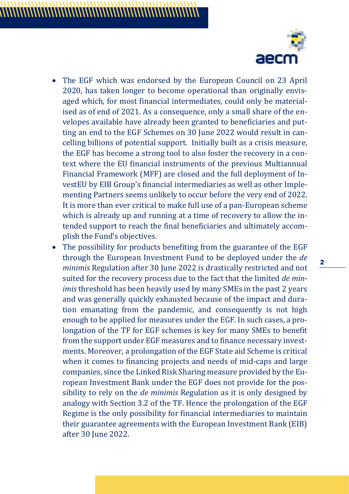

- The EGF which was endorsed by the European Council on 23 April 2020, has taken longer to become operational than originally envisaged which, for most financial intermediates, could only be materialised as of end of 2021. As a consequence, only a small share of the envelopes available have already been granted to beneficiaries and putting an end to the EGF Schemes on 30 June 2022 would result in cancelling billions of potential support. Initially built as a crisis measure, the EGF has become a strong tool to also foster the recovery in a context where the EU financial instruments of the previous Multiannual Financial Framework (MFF) are closed and the full deployment of InvestEU by EIB Group's financial intermediaries as well as other Implementing Partners seems unlikely to occur before the very end of 2022. It is more than ever critical to make full use of a pan-European scheme which is already up and running at a time of recovery to allow the intended support to reach the final beneficiaries and ultimately accomplish the Fund's objectives.
- The possibility for products benefiting from the guarantee of the EGF through the European Investment Fund to be deployed under the *de minimis* Regulation after 30 June 2022 is drastically restricted and not suited for the recovery process due to the fact that the limited *de minimis* threshold has been heavily used by many SMEs in the past 2 years and was generally quickly exhausted because of the impact and duration emanating from the pandemic, and consequently is not high enough to be applied for measures under the EGF. In such cases, a prolongation of the TF for EGF schemes is key for many SMEs to benefit from the support under EGF measures and to finance necessary investments. Moreover, a prolongation of the EGF State aid Scheme is critical when it comes to financing projects and needs of mid-caps and large companies, since the Linked Risk Sharing measure provided by the European Investment Bank under the EGF does not provide for the possibility to rely on the *de minimis* Regulation as it is only designed by analogy with Section 3.2 of the TF. Hence the prolongation of the EGF Regime is the only possibility for financial intermediaries to maintain their guarantee agreements with the European Investment Bank (EIB) after 30 June 2022.

**2**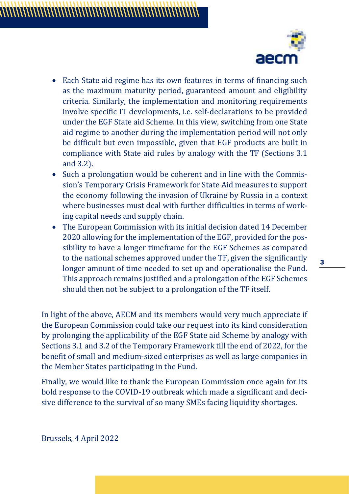

- Each State aid regime has its own features in terms of financing such as the maximum maturity period, guaranteed amount and eligibility criteria. Similarly, the implementation and monitoring requirements involve specific IT developments, i.e. self-declarations to be provided under the EGF State aid Scheme. In this view, switching from one State aid regime to another during the implementation period will not only be difficult but even impossible, given that EGF products are built in compliance with State aid rules by analogy with the TF (Sections 3.1 and 3.2).
- Such a prolongation would be coherent and in line with the Commission's Temporary Crisis Framework for State Aid measures to support the economy following the invasion of Ukraine by Russia in a context where businesses must deal with further difficulties in terms of working capital needs and supply chain.
- The European Commission with its initial decision dated 14 December 2020 allowing for the implementation of the EGF, provided for the possibility to have a longer timeframe for the EGF Schemes as compared to the national schemes approved under the TF, given the significantly longer amount of time needed to set up and operationalise the Fund. This approach remains justified and a prolongation of the EGF Schemes should then not be subject to a prolongation of the TF itself.

In light of the above, AECM and its members would very much appreciate if the European Commission could take our request into its kind consideration by prolonging the applicability of the EGF State aid Scheme by analogy with Sections 3.1 and 3.2 of the Temporary Framework till the end of 2022, for the benefit of small and medium-sized enterprises as well as large companies in the Member States participating in the Fund.

Finally, we would like to thank the European Commission once again for its bold response to the COVID-19 outbreak which made a significant and decisive difference to the survival of so many SMEs facing liquidity shortages.

Brussels, 4 April 2022